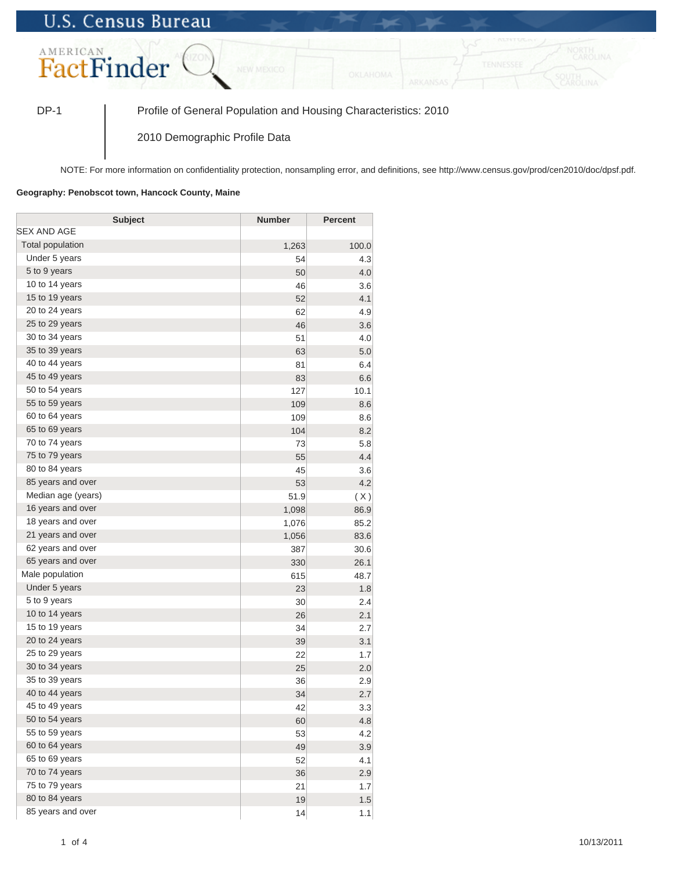## **U.S. Census Bureau**



DP-1 Profile of General Population and Housing Characteristics: 2010

2010 Demographic Profile Data

NOTE: For more information on confidentiality protection, nonsampling error, and definitions, see http://www.census.gov/prod/cen2010/doc/dpsf.pdf.

## **Geography: Penobscot town, Hancock County, Maine**

| <b>Subject</b>     | <b>Number</b> | <b>Percent</b> |
|--------------------|---------------|----------------|
| SEX AND AGE        |               |                |
| Total population   | 1,263         | 100.0          |
| Under 5 years      | 54            | 4.3            |
| 5 to 9 years       | 50            | 4.0            |
| 10 to 14 years     | 46            | 3.6            |
| 15 to 19 years     | 52            | 4.1            |
| 20 to 24 years     | 62            | 4.9            |
| 25 to 29 years     | 46            | 3.6            |
| 30 to 34 years     | 51            | 4.0            |
| 35 to 39 years     | 63            | 5.0            |
| 40 to 44 years     | 81            | 6.4            |
| 45 to 49 years     | 83            | 6.6            |
| 50 to 54 years     | 127           | 10.1           |
| 55 to 59 years     | 109           | 8.6            |
| 60 to 64 years     | 109           | 8.6            |
| 65 to 69 years     | 104           | 8.2            |
| 70 to 74 years     | 73            | 5.8            |
| 75 to 79 years     | 55            | 4.4            |
| 80 to 84 years     | 45            | 3.6            |
| 85 years and over  | 53            | 4.2            |
| Median age (years) | 51.9          | (X)            |
| 16 years and over  | 1,098         | 86.9           |
| 18 years and over  | 1,076         | 85.2           |
| 21 years and over  | 1,056         | 83.6           |
| 62 years and over  | 387           | 30.6           |
| 65 years and over  | 330           | 26.1           |
| Male population    | 615           | 48.7           |
| Under 5 years      | 23            | 1.8            |
| 5 to 9 years       | 30            | 2.4            |
| 10 to 14 years     | 26            | 2.1            |
| 15 to 19 years     | 34            | 2.7            |
| 20 to 24 years     | 39            | 3.1            |
| 25 to 29 years     | 22            | 1.7            |
| 30 to 34 years     | 25            | 2.0            |
| 35 to 39 years     | 36            | 2.9            |
| 40 to 44 years     | 34            | 2.7            |
| 45 to 49 years     | 42            | 3.3            |
| 50 to 54 years     | 60            | 4.8            |
| 55 to 59 years     | 53            | 4.2            |
| 60 to 64 years     | 49            | 3.9            |
| 65 to 69 years     | 52            | 4.1            |
| 70 to 74 years     | 36            | 2.9            |
| 75 to 79 years     | 21            | 1.7            |
| 80 to 84 years     | 19            | 1.5            |
| 85 years and over  | 14            | 1.1            |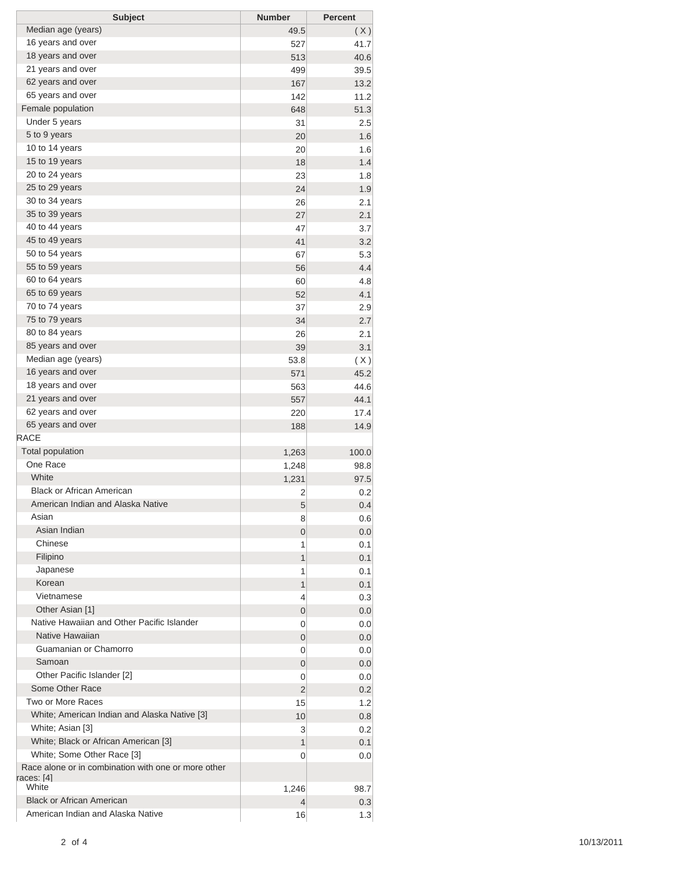| <b>Subject</b>                                                                    | <b>Number</b> | <b>Percent</b> |
|-----------------------------------------------------------------------------------|---------------|----------------|
| Median age (years)                                                                | 49.5          | (X)            |
| 16 years and over                                                                 | 527           | 41.7           |
| 18 years and over                                                                 | 513           | 40.6           |
| 21 years and over                                                                 | 499           | 39.5           |
| 62 years and over                                                                 | 167           | 13.2           |
| 65 years and over                                                                 | 142           | 11.2           |
| Female population                                                                 | 648           | 51.3           |
| Under 5 years                                                                     | 31            | 2.5            |
| 5 to 9 years                                                                      | 20            | 1.6            |
| 10 to 14 years                                                                    | 20            | 1.6            |
| 15 to 19 years                                                                    | 18            | 1.4            |
| 20 to 24 years                                                                    | 23            | 1.8            |
| 25 to 29 years                                                                    | 24            | 1.9            |
| 30 to 34 years                                                                    | 26            | 2.1            |
| 35 to 39 years                                                                    | 27            | 2.1            |
| 40 to 44 years                                                                    | 47            | 3.7            |
| 45 to 49 years                                                                    | 41            | 3.2            |
| 50 to 54 years                                                                    | 67            | 5.3            |
| 55 to 59 years                                                                    | 56            | 4.4            |
| 60 to 64 years                                                                    | 60            | 4.8            |
| 65 to 69 years                                                                    | 52            | 4.1            |
| 70 to 74 years                                                                    | 37            | 2.9            |
| 75 to 79 years                                                                    | 34            | 2.7            |
| 80 to 84 years                                                                    | 26            | 2.1            |
| 85 years and over                                                                 | 39            | 3.1            |
| Median age (years)                                                                | 53.8          | (X)            |
| 16 years and over                                                                 | 571           | 45.2           |
| 18 years and over                                                                 | 563           | 44.6           |
| 21 years and over                                                                 | 557           | 44.1           |
| 62 years and over                                                                 | 220           | 17.4           |
| 65 years and over                                                                 | 188           | 14.9           |
| <b>RACE</b>                                                                       |               |                |
| <b>Total population</b>                                                           | 1,263         | 100.0          |
| One Race                                                                          | 1,248         | 98.8           |
| White                                                                             | 1,231         | 97.5           |
| <b>Black or African American</b>                                                  | 2             | 0.2            |
| American Indian and Alaska Native                                                 | 5             | 0.4            |
| Asian                                                                             | 8             | 0.6            |
| Asian Indian                                                                      | 0             | 0.0            |
| Chinese                                                                           | 1             | 0.1            |
| Filipino                                                                          | 1             | 0.1            |
| Japanese                                                                          | 1             | 0.1            |
| Korean                                                                            | 1             | 0.1            |
| Vietnamese                                                                        | 4             | 0.3            |
| Other Asian [1]<br>Native Hawaiian and Other Pacific Islander                     | 0             | 0.0            |
|                                                                                   | 0             | 0.0            |
| Native Hawaiian                                                                   | 0             | 0.0            |
| Guamanian or Chamorro                                                             | 0             | 0.0            |
| Samoan                                                                            | 0             | 0.0            |
| Other Pacific Islander [2]                                                        | 0             | 0.0            |
| Some Other Race                                                                   | 2             | 0.2            |
| Two or More Races                                                                 | 15            | 1.2            |
| White; American Indian and Alaska Native [3]                                      | 10            | 0.8            |
| White; Asian [3]                                                                  | 3             | 0.2            |
| White; Black or African American [3]                                              | 1             | 0.1            |
| White; Some Other Race [3]<br>Race alone or in combination with one or more other | 0             | 0.0            |
| races: [4]                                                                        |               |                |
| White                                                                             | 1,246         | 98.7           |
| <b>Black or African American</b>                                                  | 4             | 0.3            |
| American Indian and Alaska Native                                                 | 16            | 1.3            |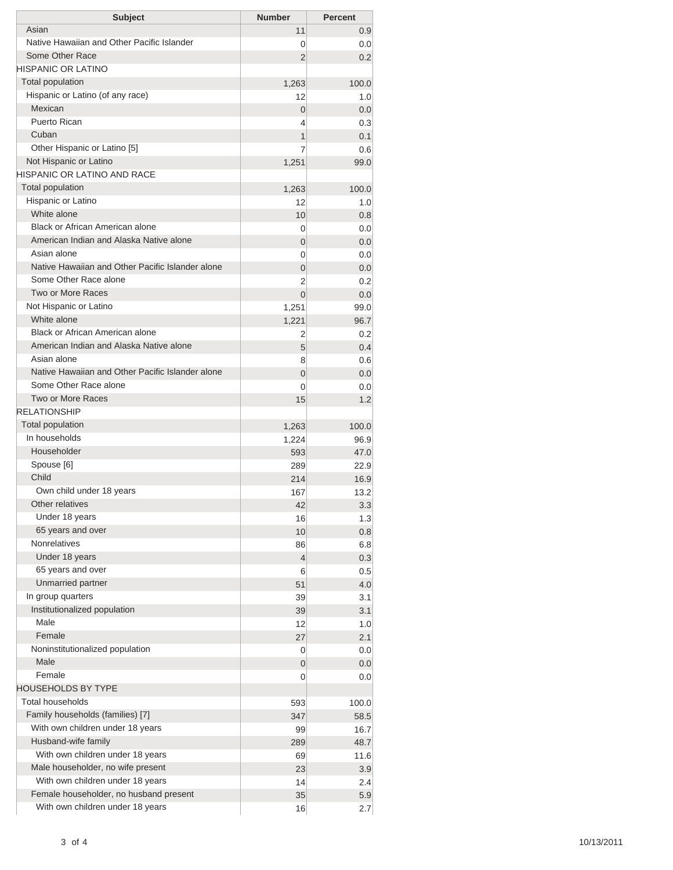| <b>Subject</b>                                   | <b>Number</b>  | <b>Percent</b> |
|--------------------------------------------------|----------------|----------------|
| Asian                                            | 11             | 0.9            |
| Native Hawaiian and Other Pacific Islander       | 0              | 0.0            |
| Some Other Race                                  | 2              | 0.2            |
| HISPANIC OR LATINO                               |                |                |
| <b>Total population</b>                          | 1,263          | 100.0          |
| Hispanic or Latino (of any race)                 | 12             | 1.0            |
| Mexican                                          | 0              | 0.0            |
| <b>Puerto Rican</b>                              | 4              | 0.3            |
| Cuban                                            | 1              | 0.1            |
| Other Hispanic or Latino [5]                     | 7              | 0.6            |
| Not Hispanic or Latino                           | 1,251          | 99.0           |
| HISPANIC OR LATINO AND RACE                      |                |                |
| <b>Total population</b>                          | 1,263          | 100.0          |
| Hispanic or Latino                               | 12             | 1.0            |
| White alone                                      | 10             | 0.8            |
| Black or African American alone                  | 0              | 0.0            |
| American Indian and Alaska Native alone          | 0              | 0.0            |
| Asian alone                                      | 0              | 0.0            |
| Native Hawaiian and Other Pacific Islander alone | 0              | 0.0            |
| Some Other Race alone                            | 2              | 0.2            |
| Two or More Races                                | $\overline{0}$ | 0.0            |
| Not Hispanic or Latino                           | 1,251          | 99.0           |
| White alone                                      | 1,221          | 96.7           |
| <b>Black or African American alone</b>           | 2              | 0.2            |
| American Indian and Alaska Native alone          | 5              | 0.4            |
| Asian alone                                      | 8              | 0.6            |
| Native Hawaiian and Other Pacific Islander alone | 0              | 0.0            |
| Some Other Race alone                            | 0              | 0.0            |
| <b>Two or More Races</b>                         | 15             | 1.2            |
| <b>RELATIONSHIP</b>                              |                |                |
| Total population                                 | 1,263          | 100.0          |
| In households                                    | 1,224          | 96.9           |
| Householder                                      | 593            | 47.0           |
| Spouse [6]                                       | 289            | 22.9           |
| Child                                            | 214            | 16.9           |
| Own child under 18 years                         | 167            | 13.2           |
| Other relatives                                  | 42             | 3.3            |
| Under 18 years                                   | 16             | 1.3            |
| 65 years and over                                | 10             | 0.8            |
| <b>Nonrelatives</b>                              | 86             | 6.8            |
| Under 18 years                                   | 4              | 0.3            |
| 65 years and over                                | 6              | 0.5            |
| Unmarried partner                                | 51             | 4.0            |
| In group quarters                                | 39             | 3.1            |
| Institutionalized population                     | 39             | 3.1            |
| Male                                             | 12             | 1.0            |
| Female                                           | 27             | 2.1            |
| Noninstitutionalized population                  | 0              | 0.0            |
| Male                                             | 0              | 0.0            |
| Female                                           | 0              | 0.0            |
| HOUSEHOLDS BY TYPE                               |                |                |
| <b>Total households</b>                          | 593            | 100.0          |
| Family households (families) [7]                 | 347            | 58.5           |
| With own children under 18 years                 | 99             | 16.7           |
| Husband-wife family                              | 289            | 48.7           |
| With own children under 18 years                 | 69             | 11.6           |
| Male householder, no wife present                | 23             | 3.9            |
| With own children under 18 years                 | 14             | 2.4            |
| Female householder, no husband present           | 35             | 5.9            |
| With own children under 18 years                 | 16             | 2.7            |